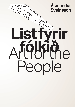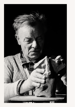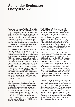## **Ásmundur Sveinsson List fyrir fólkið**

Ásmundur Sveinsson fæddist á Kolsstöðum í Dölum 20. maí 1893. Þar ólst hann upp við bústörf ásamt ellefu systkinum. Þótt Kolsstaðir væru fjarri slóðum heimslistarinnar var á heimilinu virðing og hefð fyrir góðu handverki og skar Ásmundur út og mótaði bæði hagnýta hluti og fyrirbæri sem hann sá á myndum í blöðum. Sem ungur maður kynntist Ásmundur Íslendingasögum, þjóðsögum og þjóðtrú sem síðar urðu honum mikilvæg uppspretta hugmynda við listsköpun.

Árið 1915, þegar Ásmundur var 22 ára að aldri, hélt hann til Reykjavíkur og hóf nám í tréskurði hjá Ríkharði Jónssyni og í Iðnskólanum í Reykjavík þar sem hann lærði meðal annars teikningu hjá Þórarni B. Þorlákssyni. Að loknu sveinsprófi í tréskurði haustið 1919 sigldi Ásmundur til Kaupmannahafnar. Þar var hann í teikniskóla einn vetur en naut einnig tilsagnar hjá Viggo Brant og undirbjó af kappi inntökupróf í listaháskóla. Að lokinni ársdvöl í Danmörku lá leiðin til Stokkhólms þar sem Ásmundur tók inntökupróf í Listaháskólann haustið 1920. Þrátt fyrir að undirbúningur hans væri á margan hátt léttvægur hlaut hann inngöngu og stundaði þar nám í sex ár. Aðalkennari Ásmundar í Stokkhólmi var hinn þekkti sænski myndhöggvari Carl Milles.

Námsár Ásmundar einkenndust af því að hann lagði seint af stað inn á þá braut að verða listamaður. Íslenskt samfélag þess tíma bauð ekki upp á margar fyrirmyndir. Aðeins örfáir Íslendingar höfðu lagt stund á listnám og enn færri gert myndlist að ævistarfi. Þótt með Ásmundi hafi lengi búið löngun til þess að verða myndhöggvari verður því að teljast eðlilegt að ungur piltur úr Dölunum hafi lagt áherslu á að verða sér úti um iðnmenntun áður en hann hélt út á hina ókunnu braut listarinnar.

Vorið 1926 útskrifaðist Ásmundur frá Listaháskólanum og hélt til Parísar þar sem hann dvaldist næstu þrjú árin og lærði meðal annars hjá franska myndhöggvaranum Despiau. Með Ásmundi í för var kona hans, Gunnfríður Jónsdóttir, sem hann hafði gengið að eiga í Íslandsferð sumarið 1924. París var háborg listarinnar og hafði Ásmundur margt þangað að sækja en ekki síður áhrifamiklar voru ferðir sem hann fór á Parísarárunum suður til Ítalíu og Grikklands. Ásmundur kom aftur heim til Íslands vorið 1929 eftir tíu ára búsetu erlendis.

Við heimkomuna settist Ásmundur að í Reykjavík og fékk um tíma vinnustofu í gamla Holdsveikraspítalanum í Laugarnesi. Árið 1933 reisti hann sér hús við Freyjugötu, sem nú er þekkt sem Ásmundarsalur. Á meðan Ásmundur bjó þar skildu þau Gunnfríður. Árið 1942 hóf hann byggingu kúluhússins við Sigtún og nokkru seinna bætti hann framan við húsið píramídunum tveimur. Á árunum 1954–1959 reisti hann síðan bogaskemmu aftan við húsið. Húsin við Sigtún voru heimili og vinnustofa Ásmundar allt til dauðadags. Þar bjó hann ásamt seinni konu sinni Ingrid Þórðarson (fæddri Håkansson) og Ásdísi dóttur þeirra.

Ásmundur var einn af frumkvöðlum íslenskrar höggmyndalistar. Hann var á meðal þeirra sem kynntu fyrir Íslendingum nýja formskrift í myndlist 20. aldar. Verkum hans var ekki alltaf jafn vel tekið, en með tímanum hafa þau fest sig í sessi sem ein af birtingarmyndum íslenskrar sagnahefðar, samfélags og náttúru á 20. öld. Verkum hans hefur verið komið fyrir á opinberum stöðum víða um land og er það mjög í anda hugmynda Ásmundar um að listin eigi ekki að vera fyrir fáa útvalda heldur hluti af daglegu lífi allrar alþýðu.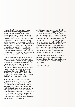Mestan hluta ferils síns sótti Ásmundur innblástur í íslenskar sagnir og þjóðtrú en samfélagið og ýmsar tækniframfarir 20. aldar voru honum einnig ríkuleg uppspretta hugmynda. Lesa má úr verkum hans stórbrotin form íslenskrar náttúru þar sem efnismikil, kröftug og stundum ógnandi verkin eru lík þeim kynjamyndum sem finna má víða í náttúru landsins. Þótt jarðvegurinn sem Ásmundur spratt úr hafi ekki verið sáður ríkulegri myndlistarhefð og böndin sterk sem bundu hann íslenskri hefð og sögu, tókst honum að tileinka sér meginstrauma alþjóðlegrar myndlistar á fyrri hluta 20. aldar og gefa þeim um leið íslenskt yfirbragð.

Efnisval Ásmundar einkenndist í upphafi af þeim efnivið sem hendi var næstur á uppvaxtarárum hans á Íslandi en endurspeglar síðarmeir hefðbundið efnisval myndhöggvara aldarinnar. Sem ungur maður skar Ásmundur í tré samkvæmt íslenskri handverkshefð. Auk hins hefðbundna útskurðar mótaði hann í leir og steypu og má segja að þá þegar hafi hann valið efniviðinn útfrá hugmyndinni. Sem nemandi Carls Milles í Stokkhólmi og á Parísarárunum tókst hann á við hefðina, mótaði og hjó í stein.

Eftir að Ásmundur sneri aftur til Íslands gerði hann lítið af því að höggva í stein. Fram á sjötta áratuginn einkenndust verk hans af þeirri tilfinningu sem skapast í verkum sem listamaðurinn mótar eigin höndum. Meðhöndlun listamannsins á efninu verður að veigamiklum hluta sköpunarverksins, hugmynd og meðferð efnis móta endanlega mynd þess. Þegar leið á fimmta áratuginn varð rýmið veigameiri þáttur í verkum Ásmundar. Hann tók þá að vinna í tré að nýju auk hinna efnismiklu leirverka.

Á sjötta áratugnum urðu straumhvörf í list Ásmundar þegar hann uppgötvaði járnið. Þá tók hann að sjóða saman málma og aðra hluti sem hann safnaði og notaði lítt eða ekki breytta. Við þetta vék hlutveruleikinn og vægi rýmisins í verkunum varð æ meira. Verkin fjarlægðust lífræn form þeirra efnismiklu verka sem Ásmundur hafði mótað eigin hendi og einkenndust af formrænum vísunum í íslenska náttúru. Undir lok starfsævi sinnar sneri hann sér svo aftur að því að höggva í stein en nú voru viðfangsefni hans ekki tilvísanir í klassíska hefð heldur lágstemmd tilbrigði við náttúrulegt form steinsins.

Ásmundur andaðist í Reykjavík 9. desember 1982. Hann ánafnaði Reykjavíkurborg listasafn sitt og húsin við Sigtún og þar hefur Ásmundarsafn verið opið almenningi frá árinu 1983.

Ólöf K. Sigurðardóttir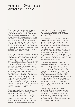## Ásmundur Sveinsson Art for the People

Ásmundur Sveinsson was born on the farm Kolsstaðir in Dalir on 20 May 1893. While growing up he took part in the work on the farm, along with his eleven siblings. Even though Kolsstaðir was far removed from the international art world, good craftsmanship was held in high esteem. Ásmundur liked to carve out of wood, creating utility objects and other things that he saw in magazines. As a young man, Ásmundur was introduced to the Icelandic Sagas, as well as to folk tales and beliefs that later became an important source of inspiration in his work.

In 1915, at the age of 22, Ásmundur moved to Reykjavík and began studying woodcarving under Ríkharður Jónsson. He also studied drawing, among other things, under the direction of painter Þórarinn B. Þorláksson, at the Technological Institute in Reykjavík. After completing a journeyman's examination in wood carving in autumn 1919, Ásmundur sailed to Copenhagen. There he attended a drawing school for one year and also studied with Viggo Brant and worked diligently to prepare himself for studying at an art academy. After a year's stay in Denmark he moved to Stockholm, where he pursued to enter the Royal Academy of Art in autumn 1920. Even though his preparation was rather minimal, he was awarded a place and studied there for six years. Ásmundur's main instructor in Stockholm was the renowned Swedish sculptor Carl Milles.

Ásmundur's study years were characterized by his late start onto the artistic journey. Icelandic society at that time did not offer many role models. Only a handful of Icelanders had studied art and even fewer had made it their career. Even though Ásmundur had long dreamed of becoming a sculptor, understandably a young man

from western Iceland would have wanted to receive certification as a craftsman before setting off on the uncertain road to becoming an artist.

In the spring of 1926, Ásmundur graduated from art college and moved to Paris where he remained for the subsequent three years. studying with French sculptor Despiau, among others. He was accompanied by his wife Gunnfríður Jónsdóttir, whom he had married during a trip to Iceland in the summer of 1924. Paris at that time was the cradle of art and had a lot to offer Ásmundur. Yet no less important for him were the trips he took to Italy and Greece during his Paris years. Ásmundur finally returned to Iceland in the spring of 1929, after a ten-year sojourn abroad.

Upon returning, Ásmundur settled in Reykjavík and for a time had a studio in the old leper clinic in Laugarnes. In 1933 he built a house on Freyjugata. While living there, he and Gunnfríður divorced. In 1942 Ásmundur began building the domed-house at Sigtún and a short while later added the two pyramids in front of the house. From 1954–59 he raised a crescent-shaped studio behind the house. The houses at Sigtún were Ásmundur's home and studio until he died. He lived there with his second wife Ingrid Þórðarson (born Håkansson) and their daughter Ásdís.

Ásmundur was one of the pioneers of Icelandic sculpture. He was among those who introduced Icelanders to a new form of art in the 20th century. His sculptures can be found in public places throughout the country, in keeping with his idea that art should not be only for a chosen few but part of the daily lives of all people.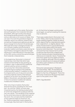For the greater part of his career, Ásmundur derived inspiration from Icelandic folk tales and beliefs, although society and various technological advancements in the 20th century were also a rich source of ideas. One can see in his work the grandiose shapes of Icelandic nature; his massive, powerful and sometimes threatening sculptures are akin to those strange forms found in the landscape. Although Ásmundur's background was not rich in artistic tradition and his bonds to Icelandic tradition and history were strong, he nevertheless managed to absorb the major influences in international art in the early part of the 20th century, and at the same time give them Icelandic characteristics.

In the beginning, Ásmundur's choice of material was much like that which was closest at hand while he was growing up in Iceland. Later it reflected the traditional material used by century sculptors. As a young man, Ásmundur practiced woodcarving according to the Icelandic craftsmanship tradition. In addition to this he shaped works out of clay and concrete, choosing material used by international sculptors of his time. As a student of Carl Milles in Stockholm, and during his years in Paris he worked in traditional material, molded and chiselled in stone.

After returning to Iceland, Ásmundur abandoned stone chiselling for the most part. Up until the 1950s, his work was characterised by the feeling evoked when an artist has shaped the sculpture with his own two hands. The handling of the material by the artist becomes an important part of the work; the concept and the treatment of the material shape its final form. As the 1940s progressed, space played an increasingly important part in Ásmundur's

art. At that time he began working with wood again, as well as creating his massive clay sculptures.

There was a watershed in Ásmundur's art in the 1950s, when he discovered iron. He began welding together metals as well as other objects that he collected and used in their original form, or slightly altered. The works moved closer to a pure abstraction and the empty space within the works became more important. The work became removed from the massive forms of the sculptures that Ásmundur shaped with his own hands and were characterized by references to Icelandic nature. Towards the end of his career he once again turned to stone chiselling, although now his subjects were not references to a classical tradition but rather quiet variations on the natural shape of the stone.

Ásmundur passed away in Reykjavík on 9 December 1982. He donated his collection and his home and studio at Sigtún to the City of Reykjavík. There the Ásmundur Sveinsson Museum has been open to the public since 1983.

Ólöf K. Sigurðardóttir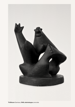